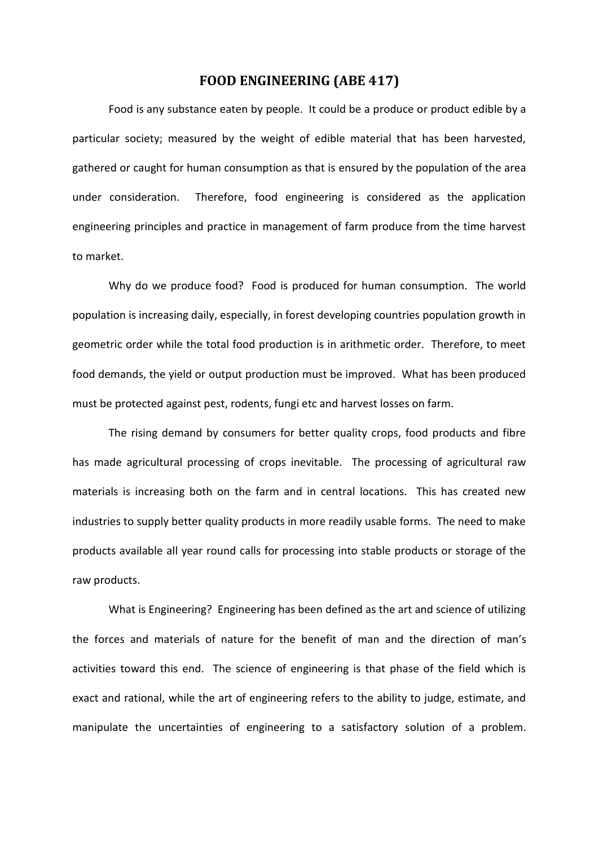# **FOOD ENGINEERING (ABE 417)**

Food is any substance eaten by people. It could be a produce or product edible by a particular society; measured by the weight of edible material that has been harvested, gathered or caught for human consumption as that is ensured by the population of the area under consideration. Therefore, food engineering is considered as the application engineering principles and practice in management of farm produce from the time harvest to market.

Why do we produce food? Food is produced for human consumption. The world population is increasing daily, especially, in forest developing countries population growth in geometric order while the total food production is in arithmetic order. Therefore, to meet food demands, the yield or output production must be improved. What has been produced must be protected against pest, rodents, fungi etc and harvest losses on farm.

The rising demand by consumers for better quality crops, food products and fibre has made agricultural processing of crops inevitable. The processing of agricultural raw materials is increasing both on the farm and in central locations. This has created new industries to supply better quality products in more readily usable forms. The need to make products available all year round calls for processing into stable products or storage of the raw products.

What is Engineering? Engineering has been defined as the art and science of utilizing the forces and materials of nature for the benefit of man and the direction of man's activities toward this end. The science of engineering is that phase of the field which is exact and rational, while the art of engineering refers to the ability to judge, estimate, and manipulate the uncertainties of engineering to a satisfactory solution of a problem.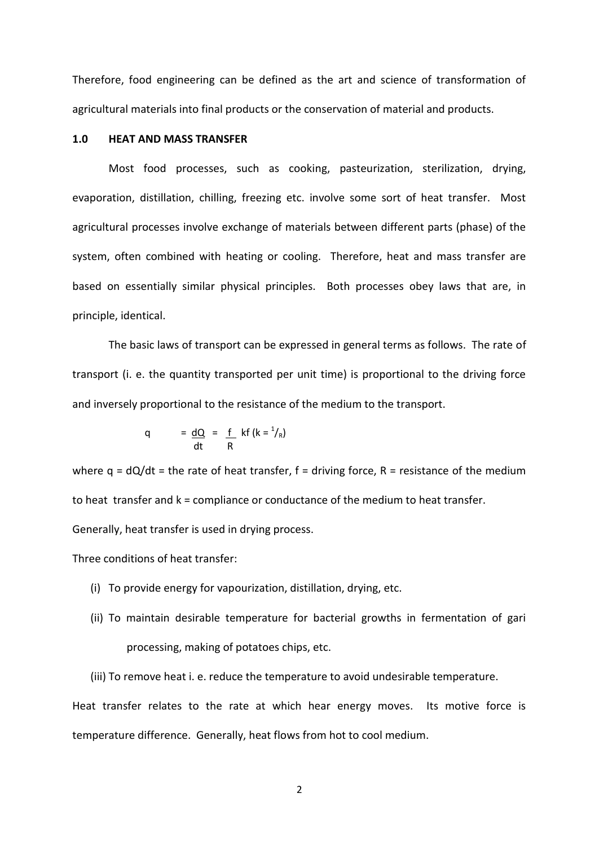Therefore, food engineering can be defined as the art and science of transformation of agricultural materials into final products or the conservation of material and products.

# **1.0 HEAT AND MASS TRANSFER**

Most food processes, such as cooking, pasteurization, sterilization, drying, evaporation, distillation, chilling, freezing etc. involve some sort of heat transfer. Most agricultural processes involve exchange of materials between different parts (phase) of the system, often combined with heating or cooling. Therefore, heat and mass transfer are based on essentially similar physical principles. Both processes obey laws that are, in principle, identical.

The basic laws of transport can be expressed in general terms as follows. The rate of transport (i. e. the quantity transported per unit time) is proportional to the driving force and inversely proportional to the resistance of the medium to the transport.

q = 
$$
\frac{dQ}{dt}
$$
 =  $\frac{f}{R}$  kf  $(k = \frac{1}{R})$ 

where  $q = dQ/dt$  = the rate of heat transfer,  $f =$  driving force,  $R =$  resistance of the medium to heat transfer and k = compliance or conductance of the medium to heat transfer. Generally, heat transfer is used in drying process.

Three conditions of heat transfer:

- (i) To provide energy for vapourization, distillation, drying, etc.
- (ii) To maintain desirable temperature for bacterial growths in fermentation of gari processing, making of potatoes chips, etc.
- (iii) To remove heat i. e. reduce the temperature to avoid undesirable temperature.

Heat transfer relates to the rate at which hear energy moves. Its motive force is temperature difference. Generally, heat flows from hot to cool medium.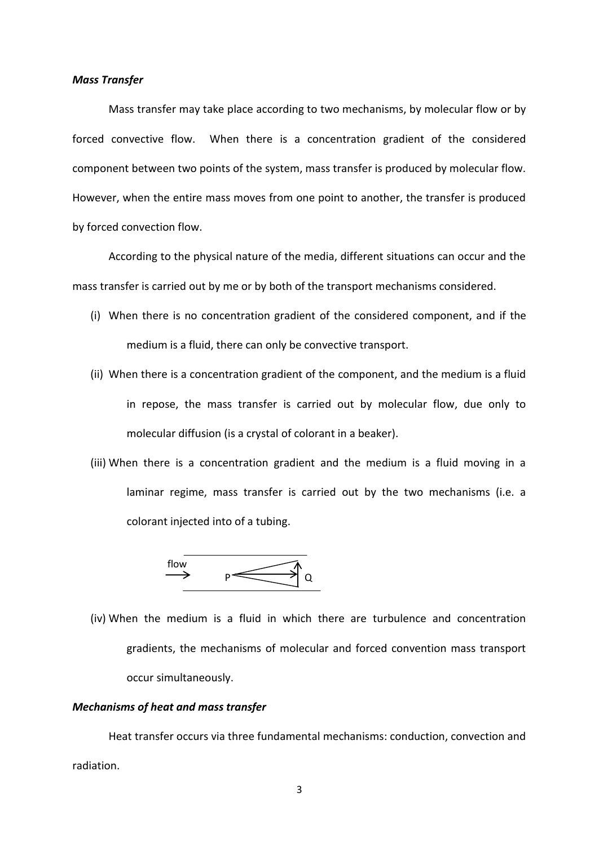#### *Mass Transfer*

Mass transfer may take place according to two mechanisms, by molecular flow or by forced convective flow. When there is a concentration gradient of the considered component between two points of the system, mass transfer is produced by molecular flow. However, when the entire mass moves from one point to another, the transfer is produced by forced convection flow.

According to the physical nature of the media, different situations can occur and the mass transfer is carried out by me or by both of the transport mechanisms considered.

- (i) When there is no concentration gradient of the considered component, and if the medium is a fluid, there can only be convective transport.
- (ii) When there is a concentration gradient of the component, and the medium is a fluid in repose, the mass transfer is carried out by molecular flow, due only to molecular diffusion (is a crystal of colorant in a beaker).
- (iii) When there is a concentration gradient and the medium is a fluid moving in a laminar regime, mass transfer is carried out by the two mechanisms (i.e. a colorant injected into of a tubing.

 flow  $\rightarrow$   $p \rightarrow q$ 

(iv) When the medium is a fluid in which there are turbulence and concentration gradients, the mechanisms of molecular and forced convention mass transport occur simultaneously.

#### *Mechanisms of heat and mass transfer*

Heat transfer occurs via three fundamental mechanisms: conduction, convection and radiation.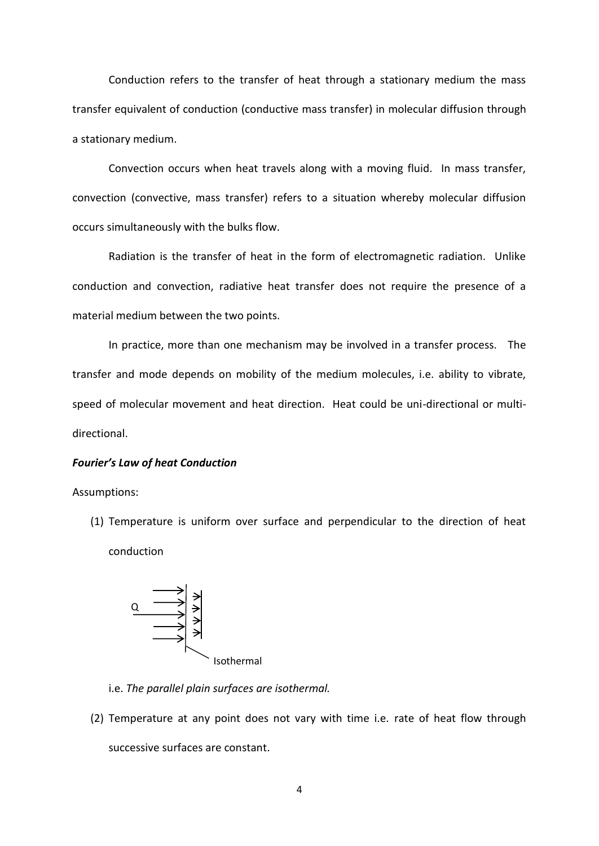Conduction refers to the transfer of heat through a stationary medium the mass transfer equivalent of conduction (conductive mass transfer) in molecular diffusion through a stationary medium.

Convection occurs when heat travels along with a moving fluid. In mass transfer, convection (convective, mass transfer) refers to a situation whereby molecular diffusion occurs simultaneously with the bulks flow.

Radiation is the transfer of heat in the form of electromagnetic radiation. Unlike conduction and convection, radiative heat transfer does not require the presence of a material medium between the two points.

In practice, more than one mechanism may be involved in a transfer process. The transfer and mode depends on mobility of the medium molecules, i.e. ability to vibrate, speed of molecular movement and heat direction. Heat could be uni-directional or multidirectional.

# *Fourier's Law of heat Conduction*

Assumptions:

(1) Temperature is uniform over surface and perpendicular to the direction of heat conduction



i.e. *The parallel plain surfaces are isothermal.*

(2) Temperature at any point does not vary with time i.e. rate of heat flow through successive surfaces are constant.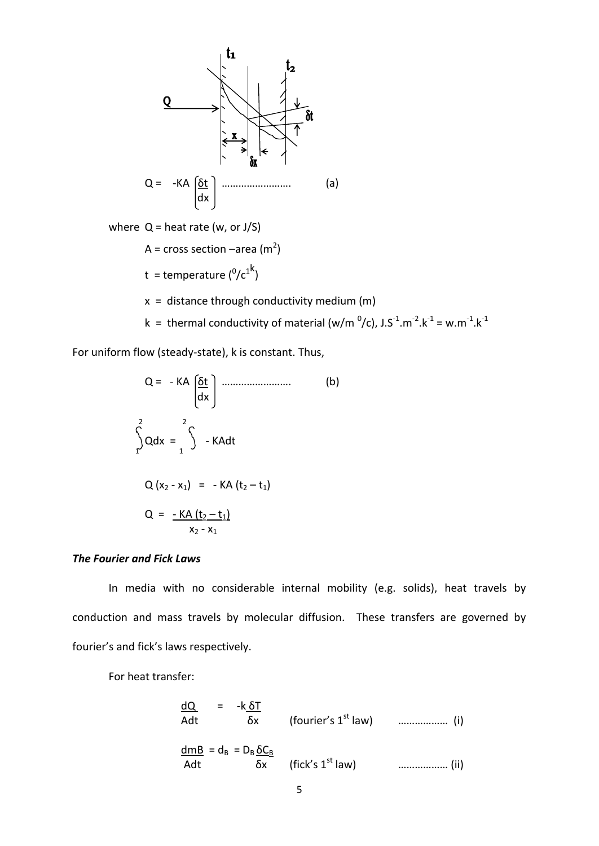

For uniform flow (steady-state), k is constant. Thus,

Q = - KA 
$$
\left(\frac{\delta t}{dx}\right)
$$
 \n................. (b)  
\n
$$
\int_{1}^{2} Qdx = \int_{1}^{2} - KAdt
$$
\n
$$
Q(x_{2} - x_{1}) = - KA(t_{2} - t_{1})
$$
\n
$$
Q = -\frac{KA(t_{2} - t_{1})}{x_{2} - x_{1}}
$$
\n(B)

# *The Fourier and Fick Laws*

In media with no considerable internal mobility (e.g. solids), heat travels by conduction and mass travels by molecular diffusion. These transfers are governed by fourier's and fick's laws respectively.

For heat transfer:

dQ = -k δT Adt δx (fourier's 1st law) ……………… (i) dmB = dB = D<sup>B</sup> δC<sup>B</sup> Adt δx (fick's 1st law) ……………… (ii)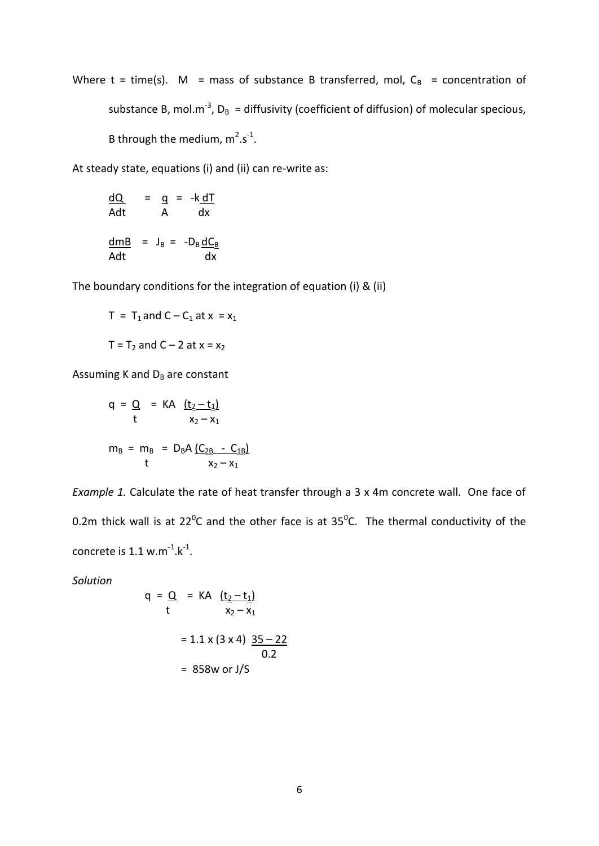Where t = time(s). M = mass of substance B transferred, mol,  $C_B$  = concentration of substance B, mol.m<sup>-3</sup>, D<sub>B</sub> = diffusivity (coefficient of diffusion) of molecular specious, B through the medium,  $m^2 \cdot s^{-1}$ .

At steady state, equations (i) and (ii) can re-write as:

<u>dQ</u> = <u>q</u> = -k<u>dT</u> Adt A dx  $\frac{\text{dmB}}{\text{g}}$  = J<sub>B</sub> = -D<sub>B</sub> <u>dC<sub>B</sub></u> Adt dx

The boundary conditions for the integration of equation (i) & (ii)

$$
T = T_1 \text{ and } C - C_1 \text{ at } x = x_1
$$

$$
T = T_2 \text{ and } C - 2 \text{ at } x = x_2
$$

Assuming K and  $D_B$  are constant

$$
q = Q = KA \underbrace{(t_2 - t_1)}_{x_2 - x_1}
$$
  

$$
m_B = m_B = D_B A \underbrace{(C_{2B} - C_{1B})}_{x_2 - x_1}
$$

*Example 1.* Calculate the rate of heat transfer through a 3 x 4m concrete wall. One face of 0.2m thick wall is at 22<sup>o</sup>C and the other face is at 35<sup>o</sup>C. The thermal conductivity of the concrete is  $1.1 \text{ w.m}^{-1} \text{.} k^{-1}$ .

*Solution*

$$
q = Q = KA \underbrace{(t_2 - t_1)}_{x_2 - x_1}
$$
  
= 1.1 x (3 x 4)  $\underbrace{35 - 22}_{0.2}$   
= 858w or J/S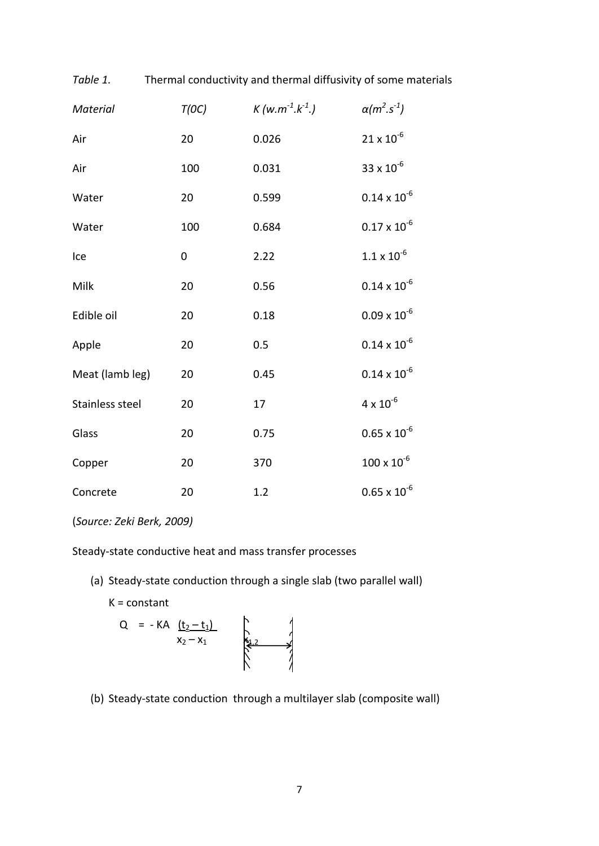| Material        | T(OC)     | $K(w.m^{-1}.k^{-1})$ | $\alpha(m^{2}.s^{-1})$     |
|-----------------|-----------|----------------------|----------------------------|
| Air             | 20        | 0.026                | $21 \times 10^{-6}$        |
| Air             | 100       | 0.031                | 33 x $10^{-6}$             |
| Water           | 20        | 0.599                | $0.14 \times 10^{-6}$      |
| Water           | 100       | 0.684                | $0.17\times10^{\text{-}6}$ |
| Ice             | $\pmb{0}$ | 2.22                 | $1.1 \times 10^{-6}$       |
| Milk            | 20        | 0.56                 | $0.14 \times 10^{-6}$      |
| Edible oil      | 20        | 0.18                 | $0.09 \times 10^{-6}$      |
| Apple           | 20        | 0.5                  | $0.14 \times 10^{-6}$      |
| Meat (lamb leg) | 20        | 0.45                 | $0.14 \times 10^{-6}$      |
| Stainless steel | 20        | 17                   | $4 \times 10^{-6}$         |
| Glass           | 20        | 0.75                 | $0.65\times10^{\text{-}6}$ |
| Copper          | 20        | 370                  | $100 \times 10^{-6}$       |
| Concrete        | 20        | 1.2                  | $0.65 \times 10^{-6}$      |

*Table 1.* Thermal conductivity and thermal diffusivity of some materials

# (*Source: Zeki Berk, 2009)*

Steady-state conductive heat and mass transfer processes

(a) Steady-state conduction through a single slab (two parallel wall)

 $K = constant$ 

Q = - KA 
$$
\frac{(t_2 - t_1)}{x_2 - x_1}
$$

(b) Steady-state conduction through a multilayer slab (composite wall)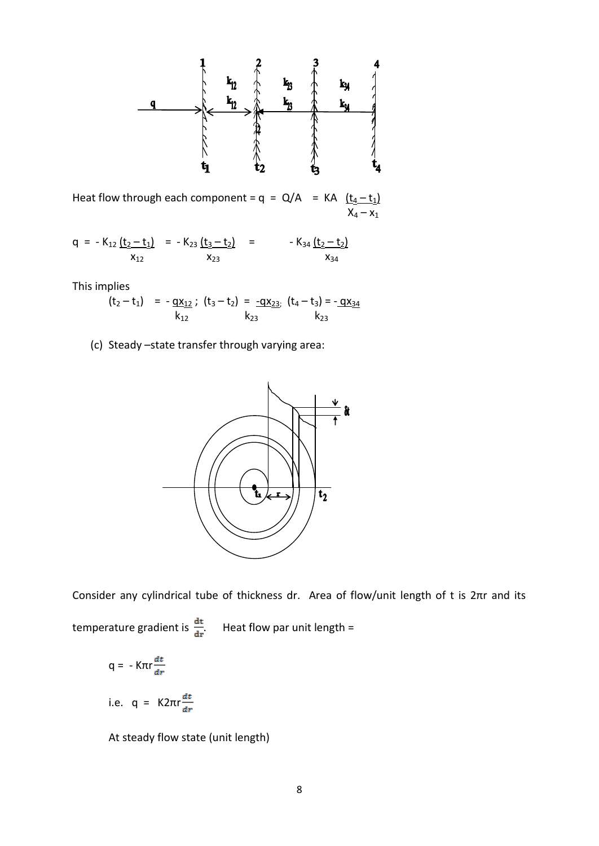

Heat flow through each component =  $q = Q/A$  = KA  $(\underline{t_4 - t_1})$  $X_4 - X_1$ 

$$
q = -K_{12} \underbrace{(t_2 - t_1)}_{X_{12}} = -K_{23} \underbrace{(t_3 - t_2)}_{X_{23}} = -K_{34} \underbrace{(t_2 - t_2)}_{X_{34}}
$$

This implies

 $(t_2 - t_1)$  =  $-gx_{12}$ ;  $(t_3 - t_2)$  =  $-gx_{23}$ ;  $(t_4 - t_3)$  =  $-gx_{34}$  $k_{12}$  k<sub>23</sub> k<sub>23</sub>

(c) Steady –state transfer through varying area:



Consider any cylindrical tube of thickness dr. Area of flow/unit length of t is 2πr and its

temperature gradient is  $\frac{dt}{dr}$ . Heat flow par unit length =

$$
q = -K\pi r \frac{dt}{dr}
$$

i.e. 
$$
q = K2\pi r \frac{dt}{dr}
$$

At steady flow state (unit length)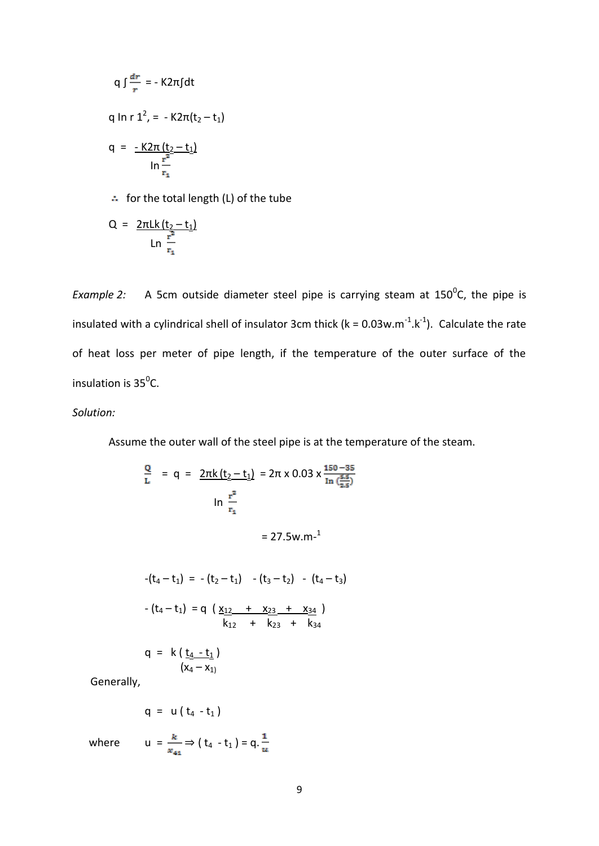$$
q \int \frac{dr}{r} = -K2\pi \int dt
$$
  
q ln r 1<sup>2</sup>, = -K2 $\pi$ (t<sub>2</sub>-t<sub>1</sub>)  

$$
q = -\frac{K2\pi (t_2 - t_1)}{\ln \frac{r^2}{r_1}}
$$

 $\therefore$  for the total length (L) of the tube

Q = 
$$
\frac{2\pi Lk(t_2 - t_1)}{Ln \frac{r^2}{r_1}}
$$

*Example 2:* A 5cm outside diameter steel pipe is carrying steam at  $150^{\circ}$ C, the pipe is insulated with a cylindrical shell of insulator 3cm thick ( $k = 0.03$ w.m<sup>-1</sup>.k<sup>-1</sup>). Calculate the rate of heat loss per meter of pipe length, if the temperature of the outer surface of the insulation is  $35^0$ C.

# *Solution:*

Assume the outer wall of the steel pipe is at the temperature of the steam.

$$
\frac{Q}{L} = q = \frac{2\pi k (t_2 - t_1)}{2\pi k (t_2 - t_1)} = 2\pi \times 0.03 \times \frac{150 - 35}{\ln(\frac{5.5}{2.5})}
$$
\n
$$
\ln \frac{r^2}{r_1}
$$
\n
$$
= 27.5 \text{w.m}^{-1}
$$
\n
$$
-(t_4 - t_1) = -(t_2 - t_1) - (t_3 - t_2) - (t_4 - t_3)
$$
\n
$$
-(t_4 - t_1) = q \left(\frac{x_{12} + x_{23} + x_{34}}{k_{12} + k_{23} + k_{34}}\right)
$$
\n
$$
q = k \left(\frac{t_4 - t_1}{k_1}\right)
$$

Generally,

$$
q = u(t_4 - t_1)
$$

 $(x_4 - x_1)$ 

where  $u = \frac{k}{x_{41}} \Rightarrow (t_4 - t_1) = q \cdot \frac{1}{u}$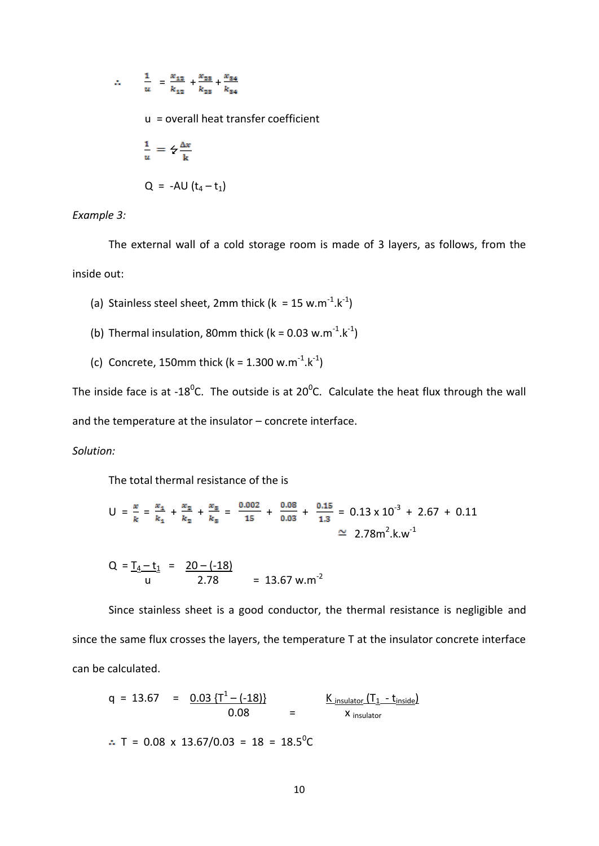$$
\therefore \qquad \frac{1}{u} = \frac{x_{12}}{k_{12}} + \frac{x_{23}}{k_{23}} + \frac{x_{34}}{k_{34}}
$$

u = overall heat transfer coefficient

$$
\frac{1}{u} = \frac{2}{k} \frac{\Delta x}{k}
$$
  
Q = -AU (t<sub>4</sub> - t<sub>1</sub>)

*Example 3:*

The external wall of a cold storage room is made of 3 layers, as follows, from the inside out:

- (a) Stainless steel sheet, 2mm thick ( $k = 15$  w.m<sup>-1</sup>.k<sup>-1</sup>)
- (b) Thermal insulation, 80mm thick ( $k = 0.03$  w.m<sup>-1</sup>.k<sup>-1</sup>)
- (c) Concrete, 150mm thick ( $k = 1.300$  w.m<sup>-1</sup>.k<sup>-1</sup>)

The inside face is at -18<sup>0</sup>C. The outside is at 20<sup>0</sup>C. Calculate the heat flux through the wall and the temperature at the insulator – concrete interface.

#### *Solution:*

The total thermal resistance of the is

$$
U = \frac{x}{k} = \frac{x_1}{k_1} + \frac{x_2}{k_2} + \frac{x_3}{k_3} = \frac{0.002}{15} + \frac{0.08}{0.03} + \frac{0.15}{1.3} = 0.13 \times 10^{-3} + 2.67 + 0.11
$$
  
\n
$$
\approx 2.78 \text{ m}^2 \cdot \text{k} \cdot \text{w}^{-1}
$$

$$
Q = \frac{T_4 - t_1}{u} = \frac{20 - (-18)}{2.78} = 13.67 \text{ w.m}^{-2}
$$

Since stainless sheet is a good conductor, the thermal resistance is negligible and since the same flux crosses the layers, the temperature T at the insulator concrete interface can be calculated.

$$
q = 13.67 = \frac{0.03 \{T^1 - (-18)\}}{0.08} = \frac{K_{\text{insulator}} (T_1 - t_{\text{inside}})}{x_{\text{ insulator}}}
$$

 $T = 0.08 \times 13.67/0.03 = 18 = 18.5^{\circ}C$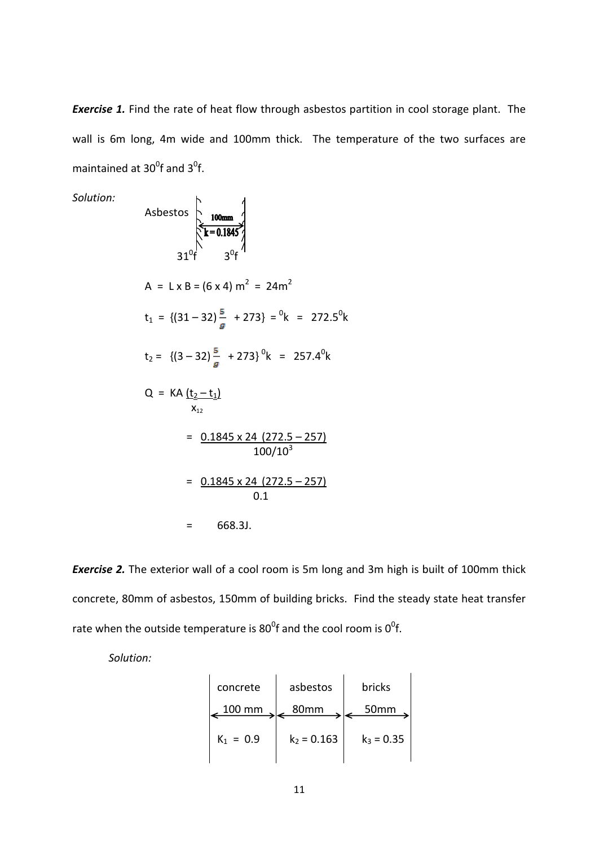**Exercise 1.** Find the rate of heat flow through asbestos partition in cool storage plant. The wall is 6m long, 4m wide and 100mm thick. The temperature of the two surfaces are maintained at  $30^0$ f and  $3^0$ f.

Solution:  
\nAsbestos  
\n
$$
\frac{100 \text{mm}}{31^0 \text{f}} \frac{1}{3^0 \text{f}}
$$
\n
$$
A = L \times B = (6 \times 4) \text{ m}^2 = 24 \text{ m}^2
$$
\n
$$
t_1 = \{(31 - 32) \frac{5}{g} + 273\} = {}^{0}\text{k} = 272.5 {}^{0}\text{k}
$$
\n
$$
t_2 = \{(3 - 32) \frac{5}{g} + 273\} {}^{0}\text{k} = 257.4 {}^{0}\text{k}
$$
\n
$$
Q = KA \underbrace{(t_2 - t_1)}_{x_{12}}
$$
\n
$$
= \underbrace{0.1845 \times 24 \ (272.5 - 257)}_{100/10^3}
$$
\n
$$
= \underbrace{0.1845 \times 24 \ (272.5 - 257)}_{0.1}
$$
\n
$$
= 668.3J.
$$

*Exercise 2.* The exterior wall of a cool room is 5m long and 3m high is built of 100mm thick concrete, 80mm of asbestos, 150mm of building bricks. Find the steady state heat transfer rate when the outside temperature is 80<sup>0</sup>f and the cool room is 0<sup>0</sup>f.

*Solution:*

| concrete      | asbestos      | bricks       |  |
|---------------|---------------|--------------|--|
| $\sim 100$ mm | $\vert$ 80mm  | 50mm         |  |
| $K_1 = 0.9$   | $k_2$ = 0.163 | $k_3$ = 0.35 |  |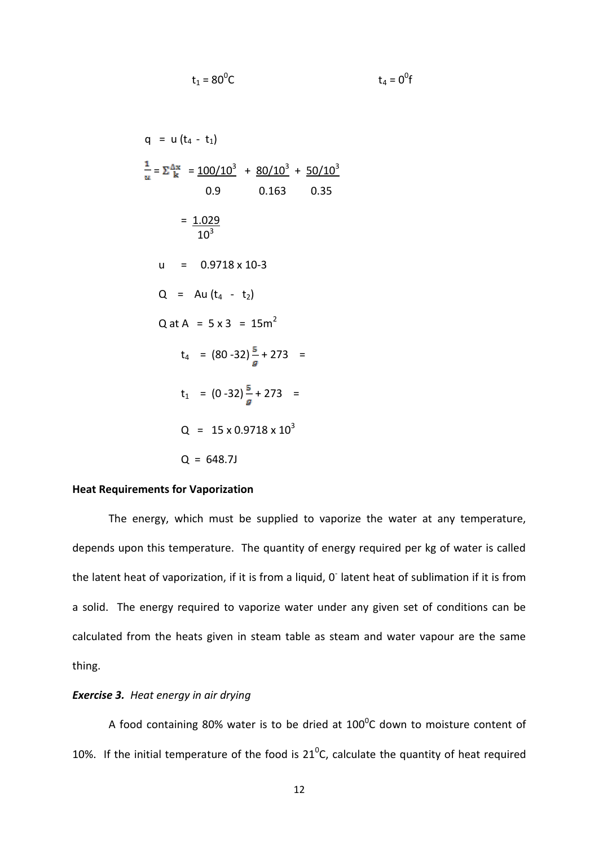q = u (t<sub>4</sub> - t<sub>1</sub>)  
\n
$$
\frac{1}{u} = \sum_{k}^{\Delta x} = \frac{100/10^{3}}{0.9} + \frac{80/10^{3}}{0.163} + \frac{50/10^{3}}{0.35}
$$
\n= 
$$
\frac{1.029}{10^{3}}
$$
\nu = 0.9718 × 10-3  
\nQ = Au (t<sub>4</sub> - t<sub>2</sub>)  
\nQ at A = 5 × 3 = 15m<sup>2</sup>  
\nt<sub>4</sub> = (80 - 32) $\frac{5}{g}$  + 273 =  
\nt<sub>1</sub> = (0 - 32) $\frac{5}{g}$  + 273 =  
\nQ = 15 × 0.9718 × 10<sup>3</sup>  
\nQ = 648.7J

 $t_1 = 80^0C$ 

**C**  $t_4 = 0^0$ f

# **Heat Requirements for Vaporization**

The energy, which must be supplied to vaporize the water at any temperature, depends upon this temperature. The quantity of energy required per kg of water is called the latent heat of vaporization, if it is from a liquid, 0 latent heat of sublimation if it is from a solid. The energy required to vaporize water under any given set of conditions can be calculated from the heats given in steam table as steam and water vapour are the same thing.

# *Exercise 3. Heat energy in air drying*

A food containing 80% water is to be dried at 100 $^{\circ}$ C down to moisture content of 10%. If the initial temperature of the food is  $21^{\circ}$ C, calculate the quantity of heat required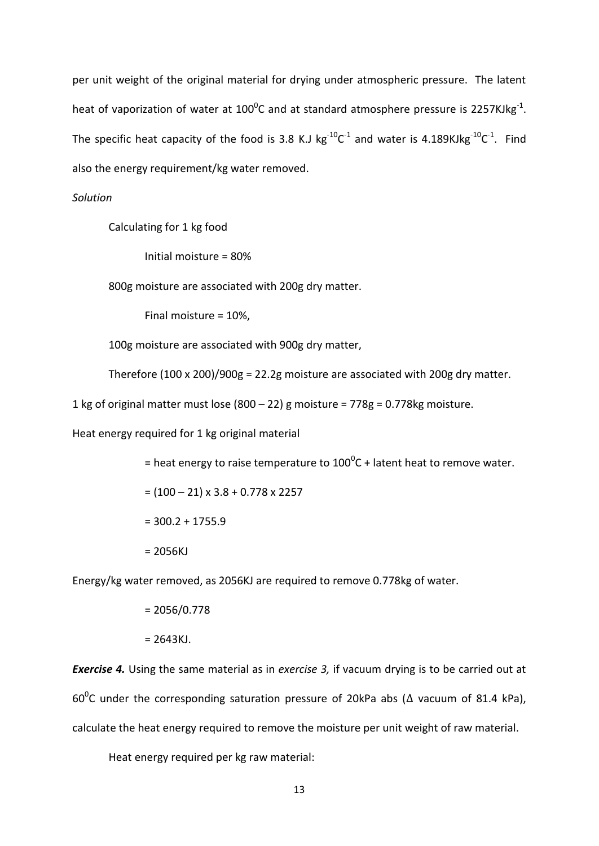per unit weight of the original material for drying under atmospheric pressure. The latent heat of vaporization of water at 100<sup>0</sup>C and at standard atmosphere pressure is 2257KJkg<sup>-1</sup>. The specific heat capacity of the food is 3.8 K.J  $kg^{-10}C^{-1}$  and water is 4.189KJkg<sup>-10</sup>C<sup>-1</sup>. Find also the energy requirement/kg water removed.

# *Solution*

Calculating for 1 kg food

Initial moisture = 80%

800g moisture are associated with 200g dry matter.

Final moisture = 10%,

100g moisture are associated with 900g dry matter,

Therefore (100 x 200)/900g = 22.2g moisture are associated with 200g dry matter.

1 kg of original matter must lose (800 – 22) g moisture =  $778g = 0.778kg$  moisture.

Heat energy required for 1 kg original material

= heat energy to raise temperature to 100<sup>0</sup>C + latent heat to remove water.

 $= (100 - 21) \times 3.8 + 0.778 \times 2257$ 

 $= 300.2 + 1755.9$ 

 $= 2056KJ$ 

Energy/kg water removed, as 2056KJ are required to remove 0.778kg of water.

 $= 2056/0.778$ 

 $= 2643KJ.$ 

*Exercise 4.* Using the same material as in *exercise 3,* if vacuum drying is to be carried out at 60<sup>0</sup>C under the corresponding saturation pressure of 20kPa abs ( $\Delta$  vacuum of 81.4 kPa), calculate the heat energy required to remove the moisture per unit weight of raw material.

Heat energy required per kg raw material: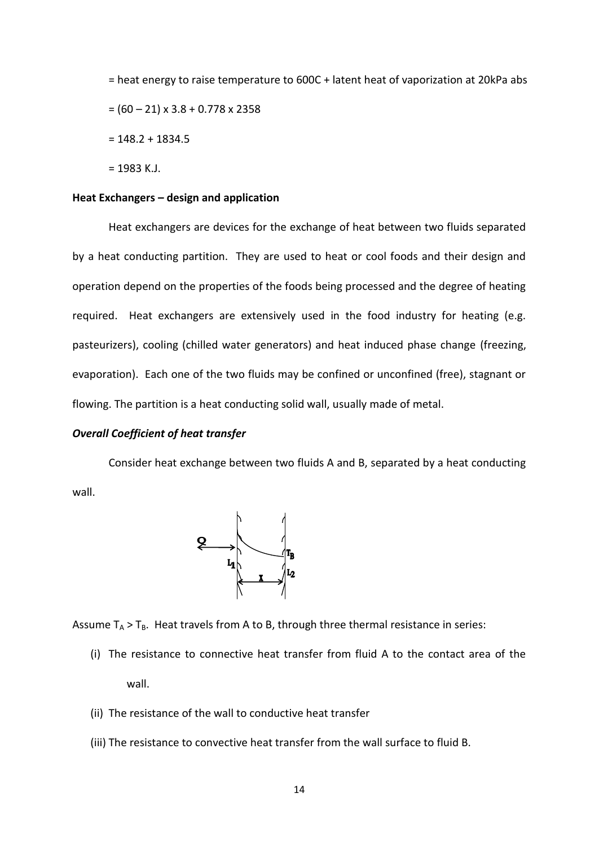= heat energy to raise temperature to 600C + latent heat of vaporization at 20kPa abs  $= (60 - 21) \times 3.8 + 0.778 \times 2358$  $= 148.2 + 1834.5$ 

 $= 1983$  K.J.

# **Heat Exchangers – design and application**

Heat exchangers are devices for the exchange of heat between two fluids separated by a heat conducting partition. They are used to heat or cool foods and their design and operation depend on the properties of the foods being processed and the degree of heating required. Heat exchangers are extensively used in the food industry for heating (e.g. pasteurizers), cooling (chilled water generators) and heat induced phase change (freezing, evaporation). Each one of the two fluids may be confined or unconfined (free), stagnant or flowing. The partition is a heat conducting solid wall, usually made of metal.

# *Overall Coefficient of heat transfer*

Consider heat exchange between two fluids A and B, separated by a heat conducting wall.



Assume  $T_A > T_B$ . Heat travels from A to B, through three thermal resistance in series:

- (i) The resistance to connective heat transfer from fluid A to the contact area of the wall.
- (ii) The resistance of the wall to conductive heat transfer
- (iii) The resistance to convective heat transfer from the wall surface to fluid B.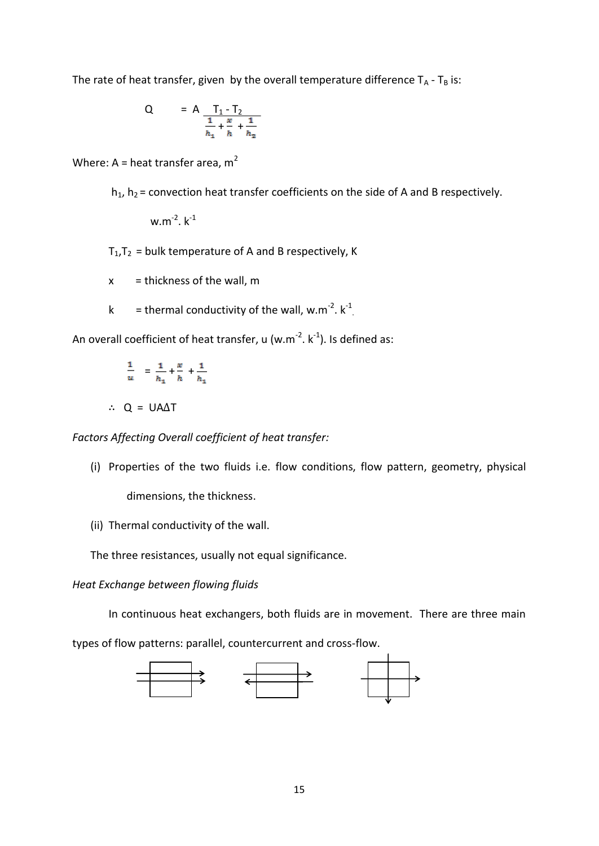The rate of heat transfer, given by the overall temperature difference  $T_A - T_B$  is:

Q = A 
$$
\frac{T_1 - T_2}{\frac{1}{h_1} + \frac{x}{h} + \frac{1}{h_2}}
$$

Where: A = heat transfer area,  $m^2$ 

 $h_1$ ,  $h_2$  = convection heat transfer coefficients on the side of A and B respectively.

w.m<sup>-2</sup>.  $k^{-1}$ 

 $T_1, T_2$  = bulk temperature of A and B respectively, K

 $x =$  thickness of the wall, m

k = thermal conductivity of the wall, w.m<sup>-2</sup>.  $k^{-1}$ .

An overall coefficient of heat transfer, u (w.m<sup>-2</sup>. k<sup>-1</sup>). Is defined as:

$$
\frac{1}{u} = \frac{1}{h_1} + \frac{x}{h} + \frac{1}{h_1}
$$

$$
\therefore Q = UA\Delta T
$$

*Factors Affecting Overall coefficient of heat transfer:*

(i) Properties of the two fluids i.e. flow conditions, flow pattern, geometry, physical

dimensions, the thickness.

(ii) Thermal conductivity of the wall.

The three resistances, usually not equal significance.

*Heat Exchange between flowing fluids*

In continuous heat exchangers, both fluids are in movement. There are three main

types of flow patterns: parallel, countercurrent and cross-flow.

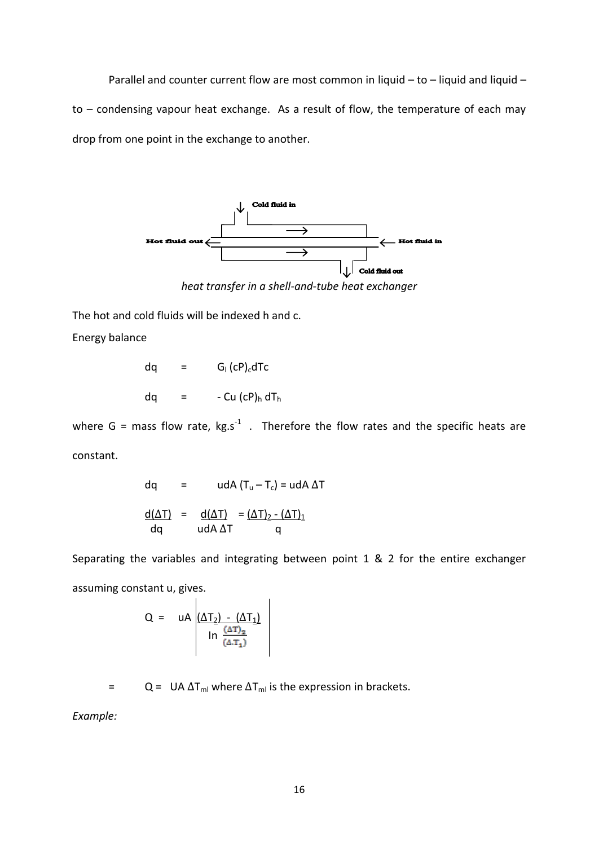Parallel and counter current flow are most common in liquid – to – liquid and liquid – to – condensing vapour heat exchange. As a result of flow, the temperature of each may drop from one point in the exchange to another.



The hot and cold fluids will be indexed h and c.

Energy balance

$$
dq = G1 (cP)c dTc
$$
  
 
$$
dq = -Cu (cP)h dTh
$$

where G = mass flow rate,  $kg.s^{-1}$  . Therefore the flow rates and the specific heats are constant.

$$
dq = u dA (T_u - T_c) = u dA \Delta T
$$
  

$$
\frac{d(\Delta T)}{dq} = \frac{d(\Delta T)}{dA \Delta T} = \frac{(\Delta T)_{2} - (\Delta T)_{1}}{q}
$$

Separating the variables and integrating between point 1 & 2 for the entire exchanger assuming constant u, gives.

$$
Q = uA \underbrace{\left(\Delta T_2\right) - \left(\Delta T_1\right)}_{\text{In } \frac{\left(\Delta T\right)_2}{\left(\Delta T_1\right)}}
$$

= Q = UA  $\Delta T_{ml}$  where  $\Delta T_{ml}$  is the expression in brackets.

*Example:*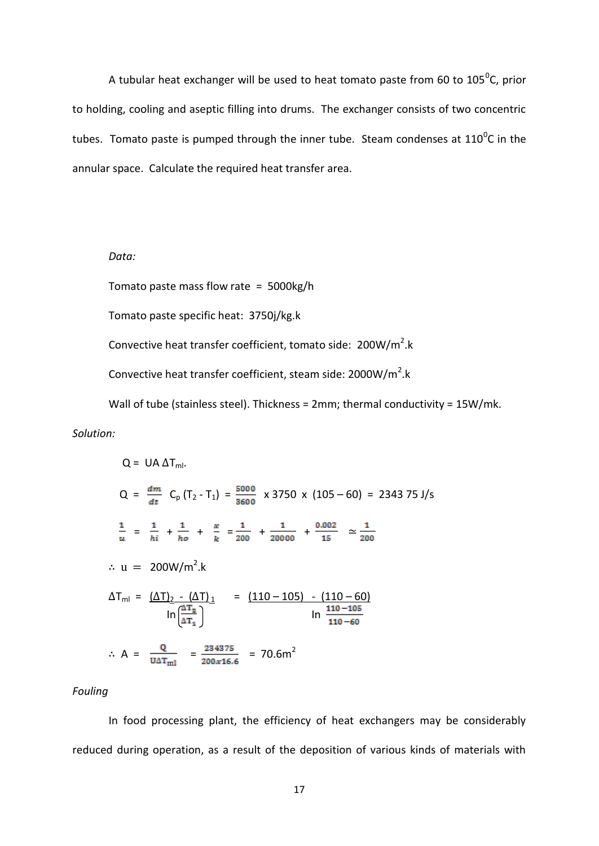A tubular heat exchanger will be used to heat tomato paste from 60 to 105<sup>0</sup>C, prior to holding, cooling and aseptic filling into drums. The exchanger consists of two concentric tubes. Tomato paste is pumped through the inner tube. Steam condenses at 110<sup>0</sup>C in the annular space. Calculate the required heat transfer area.

*Data:*

Tomato paste mass flow rate = 5000kg/h

Tomato paste specific heat: 3750j/kg.k

Convective heat transfer coefficient, tomato side:  $200W/m^2$ .k

Convective heat transfer coefficient, steam side:  $2000W/m<sup>2</sup>$ .k

Wall of tube (stainless steel). Thickness = 2mm; thermal conductivity = 15W/mk.

# *Solution:*

Q = UA 
$$
\Delta T_{ml}
$$
.  
\nQ =  $\frac{dm}{dt}$  C<sub>p</sub> (T<sub>2</sub> - T<sub>1</sub>) =  $\frac{5000}{3600}$  x 3750 x (105 - 60) = 2343 75 J/s  
\n $\frac{1}{u} = \frac{1}{hi} + \frac{1}{ho} + \frac{x}{k} = \frac{1}{200} + \frac{1}{20000} + \frac{0.002}{15} \approx \frac{1}{200}$   
\n $\therefore$  u = 200W/m<sup>2</sup>.k  
\n $\Delta T_{ml} = \frac{(\Delta T)_{2} - (\Delta T)_{1}}{\ln(\frac{\Delta T_{2}}{\Delta T_{1}})}$  =  $\frac{(110 - 105) - (110 - 60)}{\ln(\frac{110 - 105}{110 - 60})}$   
\n $\therefore$  A =  $\frac{Q}{UAT_{ml}}$  =  $\frac{234375}{200x16.6}$  = 70.6m<sup>2</sup>

# *Fouling*

In food processing plant, the efficiency of heat exchangers may be considerably reduced during operation, as a result of the deposition of various kinds of materials with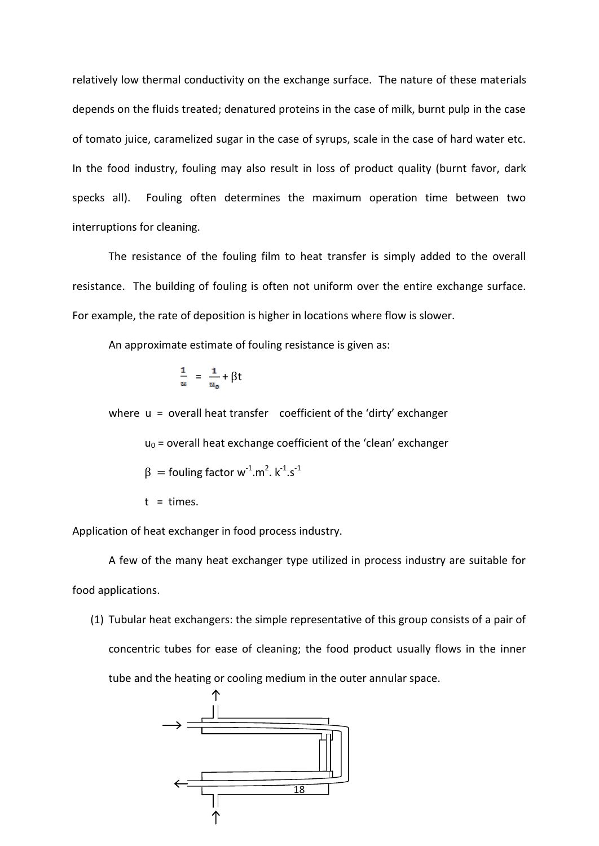relatively low thermal conductivity on the exchange surface. The nature of these materials depends on the fluids treated; denatured proteins in the case of milk, burnt pulp in the case of tomato juice, caramelized sugar in the case of syrups, scale in the case of hard water etc. In the food industry, fouling may also result in loss of product quality (burnt favor, dark specks all). Fouling often determines the maximum operation time between two interruptions for cleaning.

The resistance of the fouling film to heat transfer is simply added to the overall resistance. The building of fouling is often not uniform over the entire exchange surface. For example, the rate of deposition is higher in locations where flow is slower.

An approximate estimate of fouling resistance is given as:

$$
\frac{1}{u} = \frac{1}{u_0} + \beta t
$$

where  $u =$  overall heat transfer coefficient of the 'dirty' exchanger

 $u_0$  = overall heat exchange coefficient of the 'clean' exchanger

$$
\beta = \text{fouling factor } w^{-1} . m^2 . k^{-1} . s^{-1}
$$

 $t = times$ .

Application of heat exchanger in food process industry.

A few of the many heat exchanger type utilized in process industry are suitable for food applications.

(1) Tubular heat exchangers: the simple representative of this group consists of a pair of concentric tubes for ease of cleaning; the food product usually flows in the inner tube and the heating or cooling medium in the outer annular space.

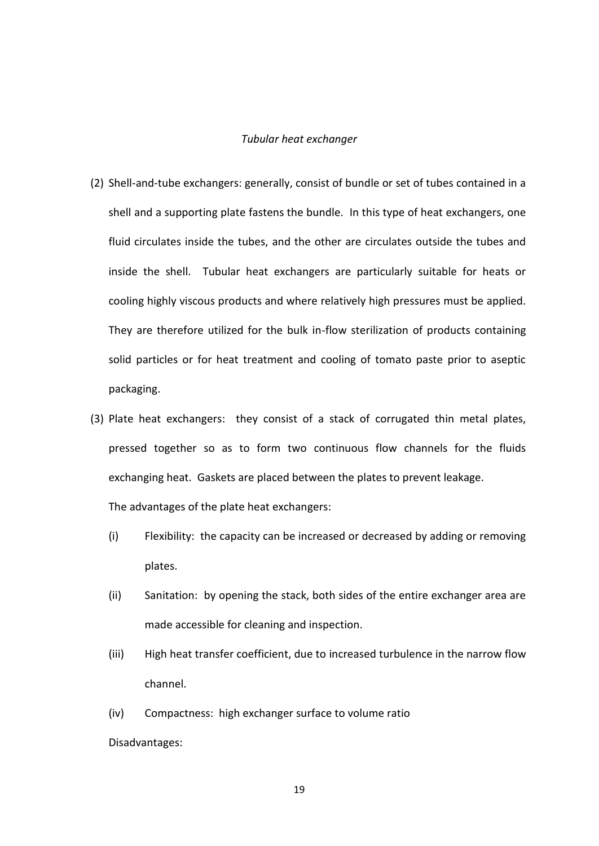### *Tubular heat exchanger*

- (2) Shell-and-tube exchangers: generally, consist of bundle or set of tubes contained in a shell and a supporting plate fastens the bundle. In this type of heat exchangers, one fluid circulates inside the tubes, and the other are circulates outside the tubes and inside the shell. Tubular heat exchangers are particularly suitable for heats or cooling highly viscous products and where relatively high pressures must be applied. They are therefore utilized for the bulk in-flow sterilization of products containing solid particles or for heat treatment and cooling of tomato paste prior to aseptic packaging.
- (3) Plate heat exchangers: they consist of a stack of corrugated thin metal plates, pressed together so as to form two continuous flow channels for the fluids exchanging heat. Gaskets are placed between the plates to prevent leakage.

The advantages of the plate heat exchangers:

- (i) Flexibility: the capacity can be increased or decreased by adding or removing plates.
- (ii) Sanitation: by opening the stack, both sides of the entire exchanger area are made accessible for cleaning and inspection.
- (iii) High heat transfer coefficient, due to increased turbulence in the narrow flow channel.
- (iv) Compactness: high exchanger surface to volume ratio

Disadvantages: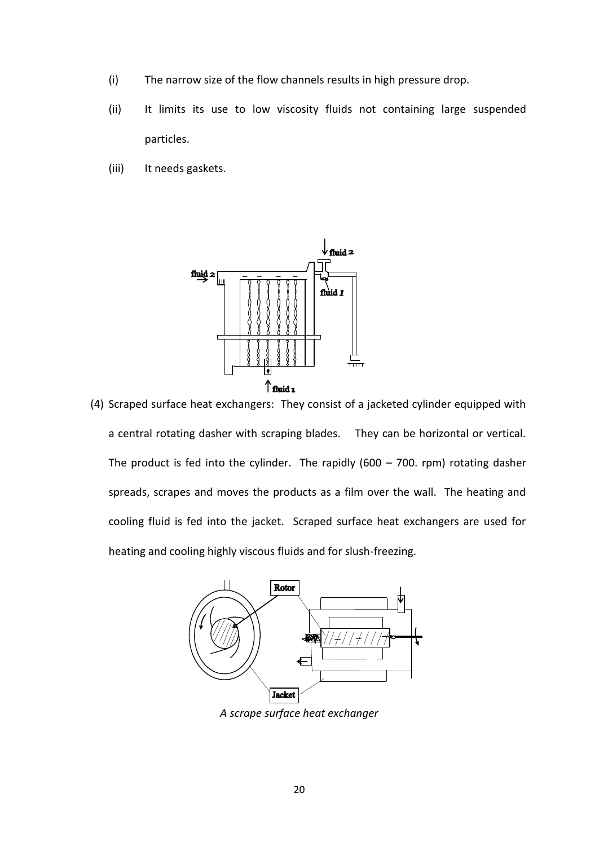- (i) The narrow size of the flow channels results in high pressure drop.
- (ii) It limits its use to low viscosity fluids not containing large suspended particles.
- (iii) It needs gaskets.



(4) Scraped surface heat exchangers: They consist of a jacketed cylinder equipped with a central rotating dasher with scraping blades. They can be horizontal or vertical. The product is fed into the cylinder. The rapidly  $(600 - 700.$  rpm) rotating dasher spreads, scrapes and moves the products as a film over the wall. The heating and cooling fluid is fed into the jacket. Scraped surface heat exchangers are used for heating and cooling highly viscous fluids and for slush-freezing.



*A scrape surface heat exchanger*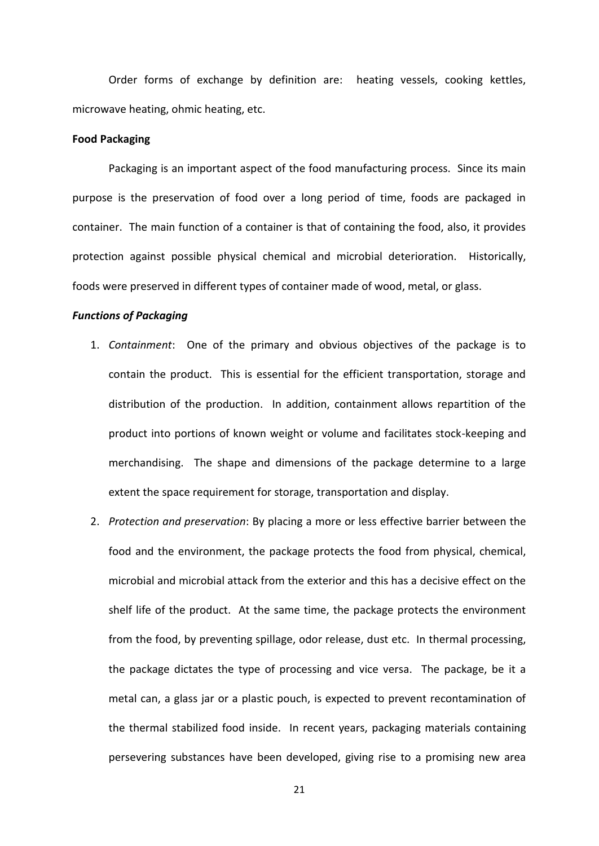Order forms of exchange by definition are: heating vessels, cooking kettles, microwave heating, ohmic heating, etc.

### **Food Packaging**

Packaging is an important aspect of the food manufacturing process. Since its main purpose is the preservation of food over a long period of time, foods are packaged in container. The main function of a container is that of containing the food, also, it provides protection against possible physical chemical and microbial deterioration. Historically, foods were preserved in different types of container made of wood, metal, or glass.

# *Functions of Packaging*

- 1. *Containment*: One of the primary and obvious objectives of the package is to contain the product. This is essential for the efficient transportation, storage and distribution of the production. In addition, containment allows repartition of the product into portions of known weight or volume and facilitates stock-keeping and merchandising. The shape and dimensions of the package determine to a large extent the space requirement for storage, transportation and display.
- 2. *Protection and preservation*: By placing a more or less effective barrier between the food and the environment, the package protects the food from physical, chemical, microbial and microbial attack from the exterior and this has a decisive effect on the shelf life of the product. At the same time, the package protects the environment from the food, by preventing spillage, odor release, dust etc. In thermal processing, the package dictates the type of processing and vice versa. The package, be it a metal can, a glass jar or a plastic pouch, is expected to prevent recontamination of the thermal stabilized food inside. In recent years, packaging materials containing persevering substances have been developed, giving rise to a promising new area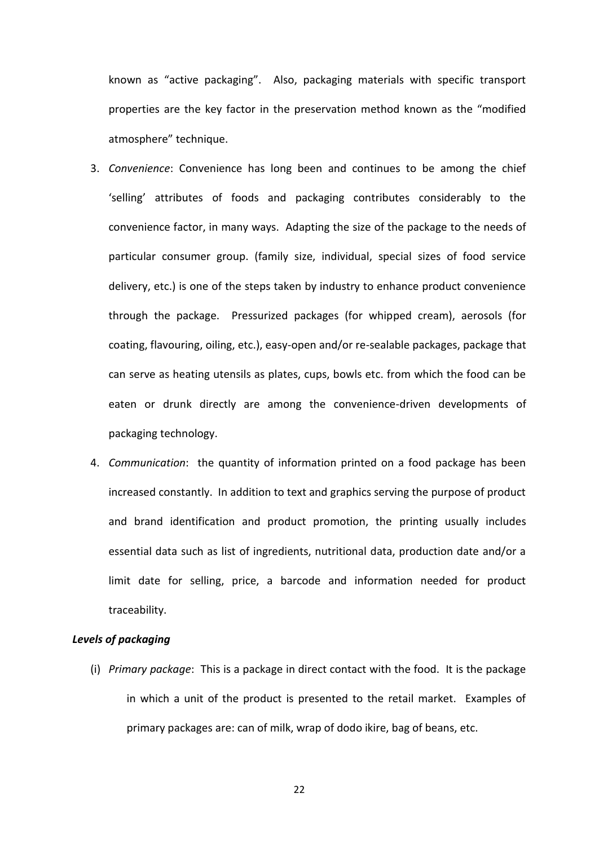known as "active packaging". Also, packaging materials with specific transport properties are the key factor in the preservation method known as the "modified atmosphere" technique.

- 3. *Convenience*: Convenience has long been and continues to be among the chief 'selling' attributes of foods and packaging contributes considerably to the convenience factor, in many ways. Adapting the size of the package to the needs of particular consumer group. (family size, individual, special sizes of food service delivery, etc.) is one of the steps taken by industry to enhance product convenience through the package. Pressurized packages (for whipped cream), aerosols (for coating, flavouring, oiling, etc.), easy-open and/or re-sealable packages, package that can serve as heating utensils as plates, cups, bowls etc. from which the food can be eaten or drunk directly are among the convenience-driven developments of packaging technology.
- 4. *Communication*: the quantity of information printed on a food package has been increased constantly. In addition to text and graphics serving the purpose of product and brand identification and product promotion, the printing usually includes essential data such as list of ingredients, nutritional data, production date and/or a limit date for selling, price, a barcode and information needed for product traceability.

# *Levels of packaging*

(i) *Primary package*: This is a package in direct contact with the food. It is the package in which a unit of the product is presented to the retail market. Examples of primary packages are: can of milk, wrap of dodo ikire, bag of beans, etc.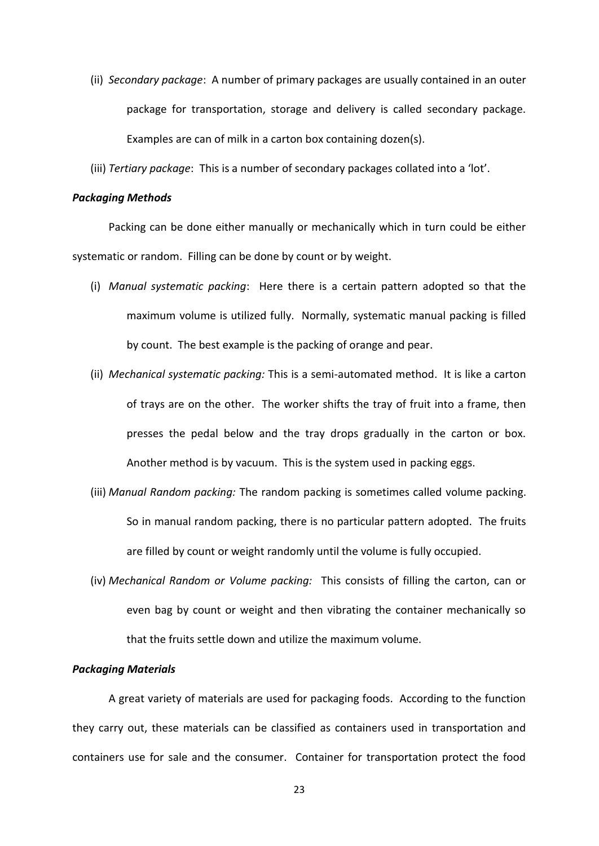- (ii) *Secondary package*: A number of primary packages are usually contained in an outer package for transportation, storage and delivery is called secondary package. Examples are can of milk in a carton box containing dozen(s).
- (iii) *Tertiary package*: This is a number of secondary packages collated into a 'lot'.

# *Packaging Methods*

Packing can be done either manually or mechanically which in turn could be either systematic or random. Filling can be done by count or by weight.

- (i) *Manual systematic packing*: Here there is a certain pattern adopted so that the maximum volume is utilized fully. Normally, systematic manual packing is filled by count. The best example is the packing of orange and pear.
- (ii) *Mechanical systematic packing:* This is a semi-automated method. It is like a carton of trays are on the other. The worker shifts the tray of fruit into a frame, then presses the pedal below and the tray drops gradually in the carton or box. Another method is by vacuum. This is the system used in packing eggs.
- (iii) *Manual Random packing:* The random packing is sometimes called volume packing. So in manual random packing, there is no particular pattern adopted. The fruits are filled by count or weight randomly until the volume is fully occupied.
- (iv) *Mechanical Random or Volume packing:* This consists of filling the carton, can or even bag by count or weight and then vibrating the container mechanically so that the fruits settle down and utilize the maximum volume.

# *Packaging Materials*

A great variety of materials are used for packaging foods. According to the function they carry out, these materials can be classified as containers used in transportation and containers use for sale and the consumer. Container for transportation protect the food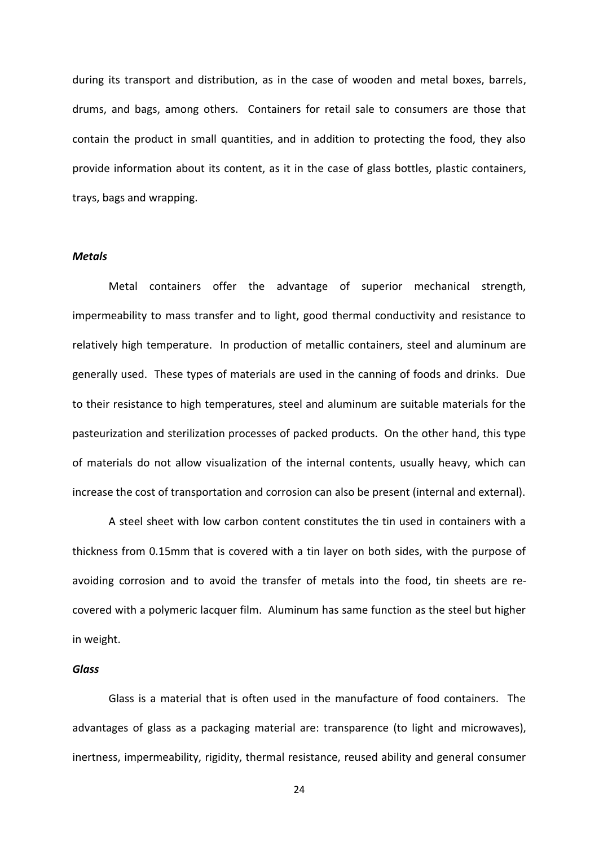during its transport and distribution, as in the case of wooden and metal boxes, barrels, drums, and bags, among others. Containers for retail sale to consumers are those that contain the product in small quantities, and in addition to protecting the food, they also provide information about its content, as it in the case of glass bottles, plastic containers, trays, bags and wrapping.

#### *Metals*

Metal containers offer the advantage of superior mechanical strength, impermeability to mass transfer and to light, good thermal conductivity and resistance to relatively high temperature. In production of metallic containers, steel and aluminum are generally used. These types of materials are used in the canning of foods and drinks. Due to their resistance to high temperatures, steel and aluminum are suitable materials for the pasteurization and sterilization processes of packed products. On the other hand, this type of materials do not allow visualization of the internal contents, usually heavy, which can increase the cost of transportation and corrosion can also be present (internal and external).

A steel sheet with low carbon content constitutes the tin used in containers with a thickness from 0.15mm that is covered with a tin layer on both sides, with the purpose of avoiding corrosion and to avoid the transfer of metals into the food, tin sheets are recovered with a polymeric lacquer film. Aluminum has same function as the steel but higher in weight.

## *Glass*

Glass is a material that is often used in the manufacture of food containers. The advantages of glass as a packaging material are: transparence (to light and microwaves), inertness, impermeability, rigidity, thermal resistance, reused ability and general consumer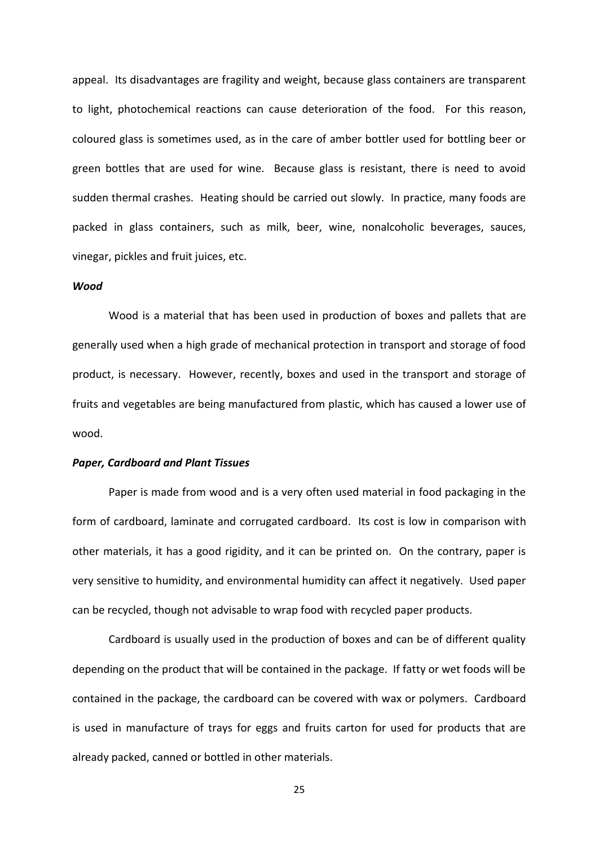appeal. Its disadvantages are fragility and weight, because glass containers are transparent to light, photochemical reactions can cause deterioration of the food. For this reason, coloured glass is sometimes used, as in the care of amber bottler used for bottling beer or green bottles that are used for wine. Because glass is resistant, there is need to avoid sudden thermal crashes. Heating should be carried out slowly. In practice, many foods are packed in glass containers, such as milk, beer, wine, nonalcoholic beverages, sauces, vinegar, pickles and fruit juices, etc.

#### *Wood*

Wood is a material that has been used in production of boxes and pallets that are generally used when a high grade of mechanical protection in transport and storage of food product, is necessary. However, recently, boxes and used in the transport and storage of fruits and vegetables are being manufactured from plastic, which has caused a lower use of wood.

#### *Paper, Cardboard and Plant Tissues*

Paper is made from wood and is a very often used material in food packaging in the form of cardboard, laminate and corrugated cardboard. Its cost is low in comparison with other materials, it has a good rigidity, and it can be printed on. On the contrary, paper is very sensitive to humidity, and environmental humidity can affect it negatively. Used paper can be recycled, though not advisable to wrap food with recycled paper products.

Cardboard is usually used in the production of boxes and can be of different quality depending on the product that will be contained in the package. If fatty or wet foods will be contained in the package, the cardboard can be covered with wax or polymers. Cardboard is used in manufacture of trays for eggs and fruits carton for used for products that are already packed, canned or bottled in other materials.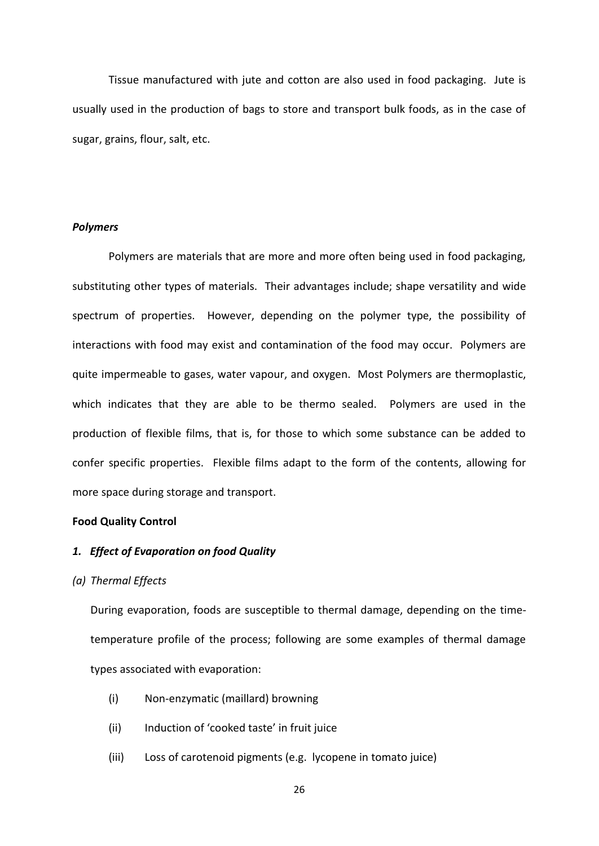Tissue manufactured with jute and cotton are also used in food packaging. Jute is usually used in the production of bags to store and transport bulk foods, as in the case of sugar, grains, flour, salt, etc.

# *Polymers*

Polymers are materials that are more and more often being used in food packaging, substituting other types of materials. Their advantages include; shape versatility and wide spectrum of properties. However, depending on the polymer type, the possibility of interactions with food may exist and contamination of the food may occur. Polymers are quite impermeable to gases, water vapour, and oxygen. Most Polymers are thermoplastic, which indicates that they are able to be thermo sealed. Polymers are used in the production of flexible films, that is, for those to which some substance can be added to confer specific properties. Flexible films adapt to the form of the contents, allowing for more space during storage and transport.

# **Food Quality Control**

# *1. Effect of Evaporation on food Quality*

#### *(a) Thermal Effects*

During evaporation, foods are susceptible to thermal damage, depending on the timetemperature profile of the process; following are some examples of thermal damage types associated with evaporation:

- (i) Non-enzymatic (maillard) browning
- (ii) Induction of 'cooked taste' in fruit juice
- (iii) Loss of carotenoid pigments (e.g. lycopene in tomato juice)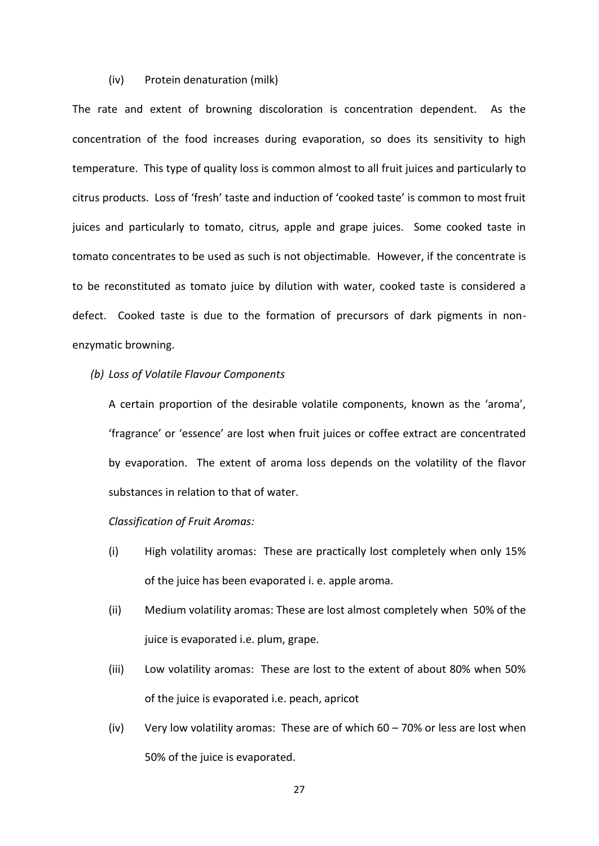# (iv) Protein denaturation (milk)

The rate and extent of browning discoloration is concentration dependent. As the concentration of the food increases during evaporation, so does its sensitivity to high temperature. This type of quality loss is common almost to all fruit juices and particularly to citrus products. Loss of 'fresh' taste and induction of 'cooked taste' is common to most fruit juices and particularly to tomato, citrus, apple and grape juices. Some cooked taste in tomato concentrates to be used as such is not objectimable. However, if the concentrate is to be reconstituted as tomato juice by dilution with water, cooked taste is considered a defect. Cooked taste is due to the formation of precursors of dark pigments in nonenzymatic browning.

#### *(b) Loss of Volatile Flavour Components*

A certain proportion of the desirable volatile components, known as the 'aroma', 'fragrance' or 'essence' are lost when fruit juices or coffee extract are concentrated by evaporation. The extent of aroma loss depends on the volatility of the flavor substances in relation to that of water.

# *Classification of Fruit Aromas:*

- (i) High volatility aromas: These are practically lost completely when only 15% of the juice has been evaporated i. e. apple aroma.
- (ii) Medium volatility aromas: These are lost almost completely when 50% of the juice is evaporated i.e. plum, grape.
- (iii) Low volatility aromas: These are lost to the extent of about 80% when 50% of the juice is evaporated i.e. peach, apricot
- (iv) Very low volatility aromas: These are of which  $60 70\%$  or less are lost when 50% of the juice is evaporated.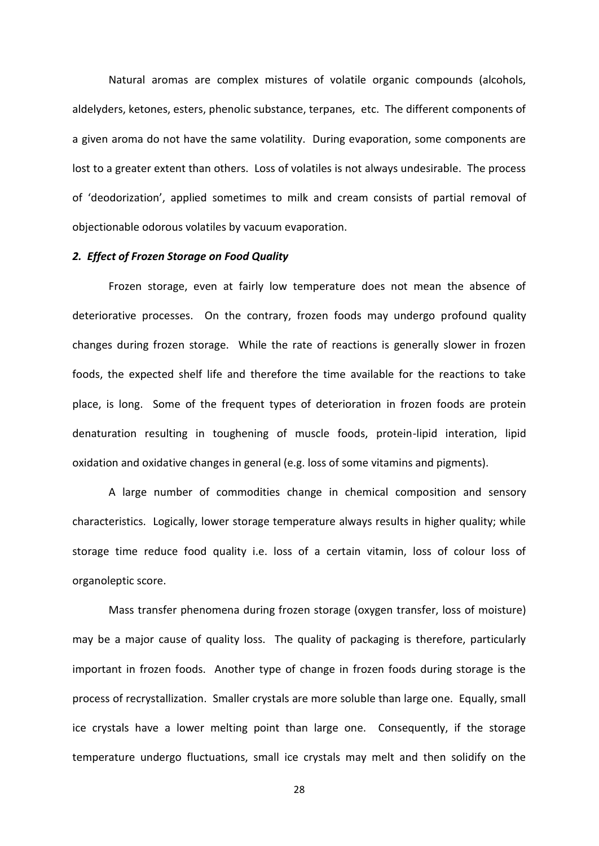Natural aromas are complex mistures of volatile organic compounds (alcohols, aldelyders, ketones, esters, phenolic substance, terpanes, etc. The different components of a given aroma do not have the same volatility. During evaporation, some components are lost to a greater extent than others. Loss of volatiles is not always undesirable. The process of 'deodorization', applied sometimes to milk and cream consists of partial removal of objectionable odorous volatiles by vacuum evaporation.

#### *2. Effect of Frozen Storage on Food Quality*

Frozen storage, even at fairly low temperature does not mean the absence of deteriorative processes. On the contrary, frozen foods may undergo profound quality changes during frozen storage. While the rate of reactions is generally slower in frozen foods, the expected shelf life and therefore the time available for the reactions to take place, is long. Some of the frequent types of deterioration in frozen foods are protein denaturation resulting in toughening of muscle foods, protein-lipid interation, lipid oxidation and oxidative changes in general (e.g. loss of some vitamins and pigments).

A large number of commodities change in chemical composition and sensory characteristics. Logically, lower storage temperature always results in higher quality; while storage time reduce food quality i.e. loss of a certain vitamin, loss of colour loss of organoleptic score.

Mass transfer phenomena during frozen storage (oxygen transfer, loss of moisture) may be a major cause of quality loss. The quality of packaging is therefore, particularly important in frozen foods. Another type of change in frozen foods during storage is the process of recrystallization. Smaller crystals are more soluble than large one. Equally, small ice crystals have a lower melting point than large one. Consequently, if the storage temperature undergo fluctuations, small ice crystals may melt and then solidify on the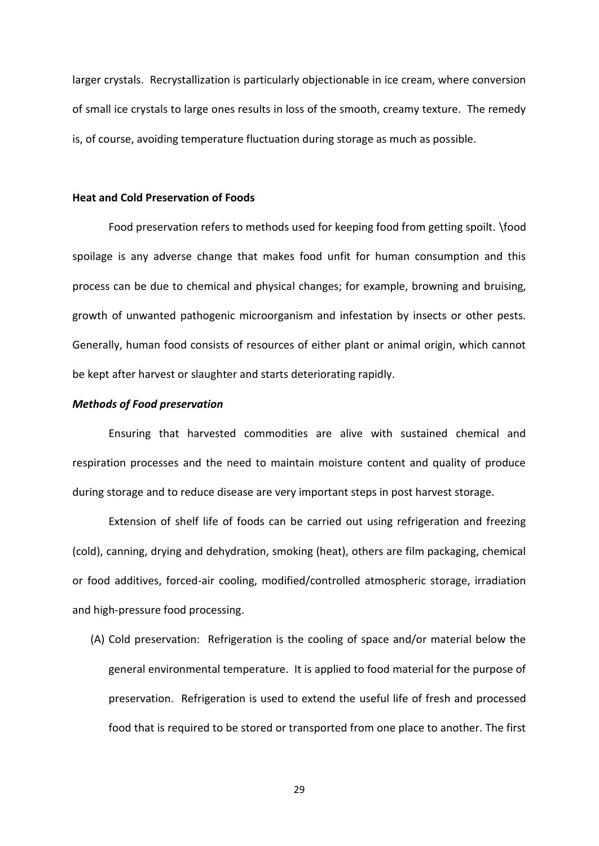larger crystals. Recrystallization is particularly objectionable in ice cream, where conversion of small ice crystals to large ones results in loss of the smooth, creamy texture. The remedy is, of course, avoiding temperature fluctuation during storage as much as possible.

# **Heat and Cold Preservation of Foods**

Food preservation refers to methods used for keeping food from getting spoilt. \food spoilage is any adverse change that makes food unfit for human consumption and this process can be due to chemical and physical changes; for example, browning and bruising, growth of unwanted pathogenic microorganism and infestation by insects or other pests. Generally, human food consists of resources of either plant or animal origin, which cannot be kept after harvest or slaughter and starts deteriorating rapidly.

### *Methods of Food preservation*

Ensuring that harvested commodities are alive with sustained chemical and respiration processes and the need to maintain moisture content and quality of produce during storage and to reduce disease are very important steps in post harvest storage.

Extension of shelf life of foods can be carried out using refrigeration and freezing (cold), canning, drying and dehydration, smoking (heat), others are film packaging, chemical or food additives, forced-air cooling, modified/controlled atmospheric storage, irradiation and high-pressure food processing.

(A) Cold preservation: Refrigeration is the cooling of space and/or material below the general environmental temperature. It is applied to food material for the purpose of preservation. Refrigeration is used to extend the useful life of fresh and processed food that is required to be stored or transported from one place to another. The first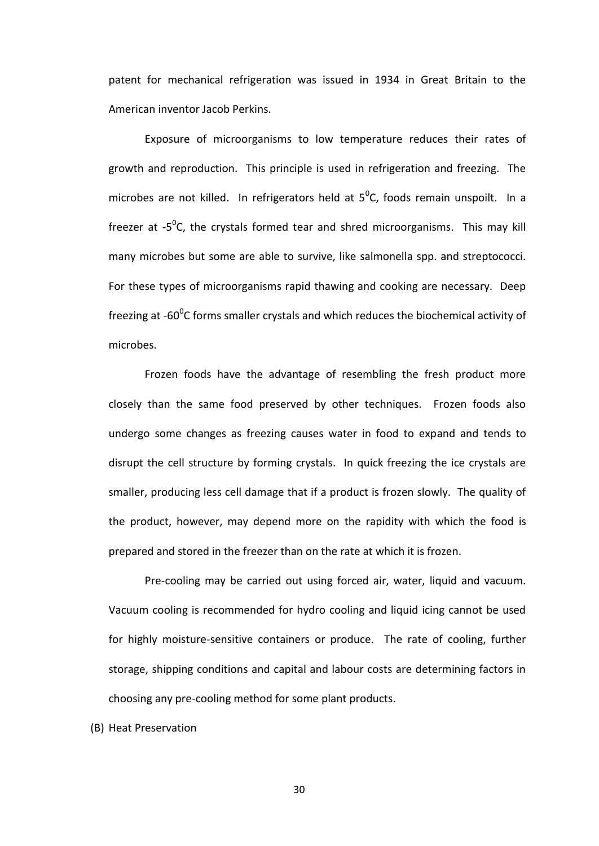patent for mechanical refrigeration was issued in 1934 in Great Britain to the American inventor Jacob Perkins.

Exposure of microorganisms to low temperature reduces their rates of growth and reproduction. This principle is used in refrigeration and freezing. The microbes are not killed. In refrigerators held at  $5^{\circ}$ C, foods remain unspoilt. In a freezer at -5<sup>o</sup>C, the crystals formed tear and shred microorganisms. This may kill many microbes but some are able to survive, like salmonella spp. and streptococci. For these types of microorganisms rapid thawing and cooking are necessary. Deep freezing at -60 $\mathrm{^0C}$  forms smaller crystals and which reduces the biochemical activity of microbes.

Frozen foods have the advantage of resembling the fresh product more closely than the same food preserved by other techniques. Frozen foods also undergo some changes as freezing causes water in food to expand and tends to disrupt the cell structure by forming crystals. In quick freezing the ice crystals are smaller, producing less cell damage that if a product is frozen slowly. The quality of the product, however, may depend more on the rapidity with which the food is prepared and stored in the freezer than on the rate at which it is frozen.

Pre-cooling may be carried out using forced air, water, liquid and vacuum. Vacuum cooling is recommended for hydro cooling and liquid icing cannot be used for highly moisture-sensitive containers or produce. The rate of cooling, further storage, shipping conditions and capital and labour costs are determining factors in choosing any pre-cooling method for some plant products.

(B) Heat Preservation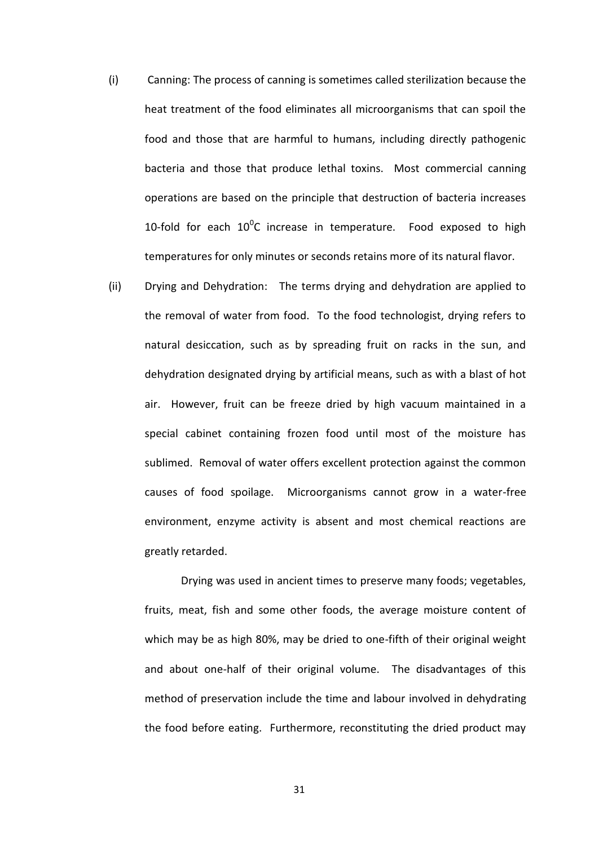- (i) Canning: The process of canning is sometimes called sterilization because the heat treatment of the food eliminates all microorganisms that can spoil the food and those that are harmful to humans, including directly pathogenic bacteria and those that produce lethal toxins. Most commercial canning operations are based on the principle that destruction of bacteria increases 10-fold for each  $10^0C$  increase in temperature. Food exposed to high temperatures for only minutes or seconds retains more of its natural flavor.
- (ii) Drying and Dehydration: The terms drying and dehydration are applied to the removal of water from food. To the food technologist, drying refers to natural desiccation, such as by spreading fruit on racks in the sun, and dehydration designated drying by artificial means, such as with a blast of hot air. However, fruit can be freeze dried by high vacuum maintained in a special cabinet containing frozen food until most of the moisture has sublimed. Removal of water offers excellent protection against the common causes of food spoilage. Microorganisms cannot grow in a water-free environment, enzyme activity is absent and most chemical reactions are greatly retarded.

Drying was used in ancient times to preserve many foods; vegetables, fruits, meat, fish and some other foods, the average moisture content of which may be as high 80%, may be dried to one-fifth of their original weight and about one-half of their original volume. The disadvantages of this method of preservation include the time and labour involved in dehydrating the food before eating. Furthermore, reconstituting the dried product may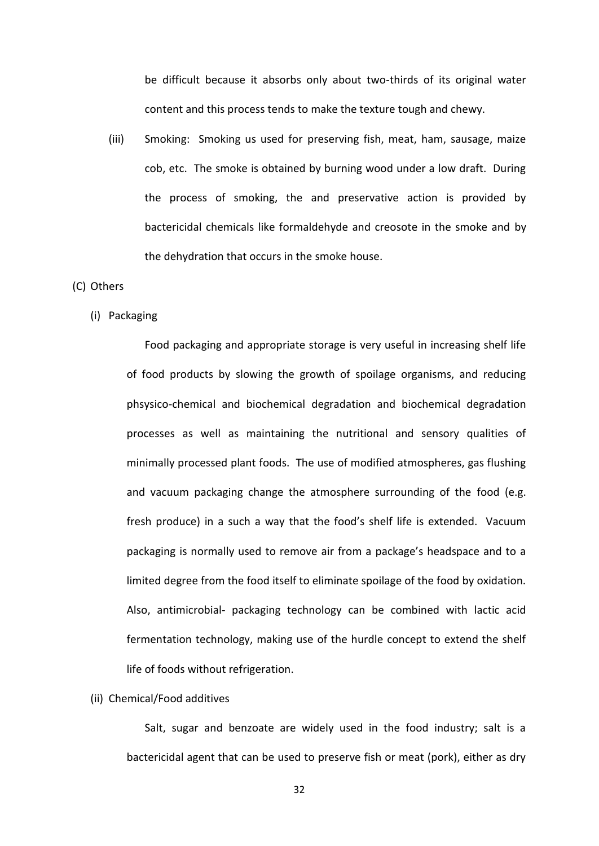be difficult because it absorbs only about two-thirds of its original water content and this process tends to make the texture tough and chewy.

(iii) Smoking: Smoking us used for preserving fish, meat, ham, sausage, maize cob, etc. The smoke is obtained by burning wood under a low draft. During the process of smoking, the and preservative action is provided by bactericidal chemicals like formaldehyde and creosote in the smoke and by the dehydration that occurs in the smoke house.

### (C) Others

(i) Packaging

Food packaging and appropriate storage is very useful in increasing shelf life of food products by slowing the growth of spoilage organisms, and reducing phsysico-chemical and biochemical degradation and biochemical degradation processes as well as maintaining the nutritional and sensory qualities of minimally processed plant foods. The use of modified atmospheres, gas flushing and vacuum packaging change the atmosphere surrounding of the food (e.g. fresh produce) in a such a way that the food's shelf life is extended. Vacuum packaging is normally used to remove air from a package's headspace and to a limited degree from the food itself to eliminate spoilage of the food by oxidation. Also, antimicrobial- packaging technology can be combined with lactic acid fermentation technology, making use of the hurdle concept to extend the shelf life of foods without refrigeration.

#### (ii) Chemical/Food additives

Salt, sugar and benzoate are widely used in the food industry; salt is a bactericidal agent that can be used to preserve fish or meat (pork), either as dry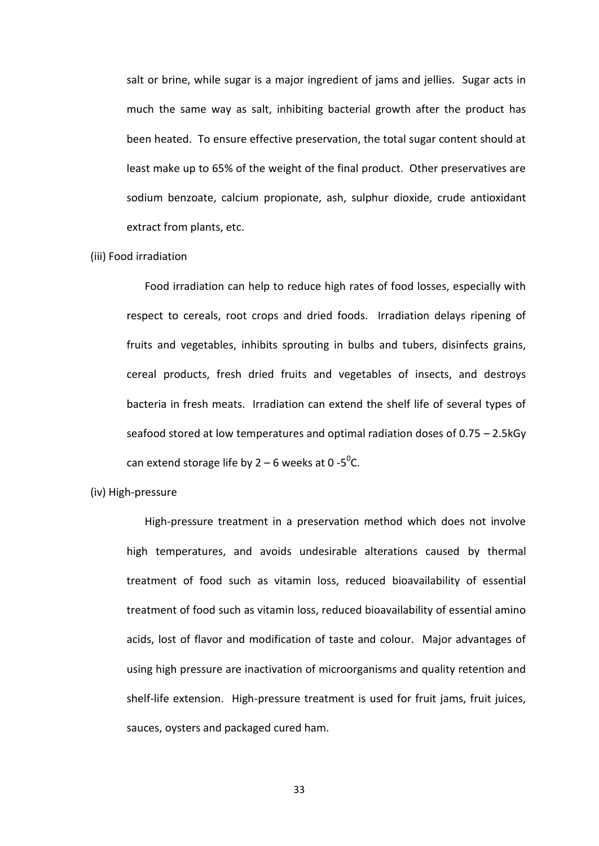salt or brine, while sugar is a major ingredient of jams and jellies. Sugar acts in much the same way as salt, inhibiting bacterial growth after the product has been heated. To ensure effective preservation, the total sugar content should at least make up to 65% of the weight of the final product. Other preservatives are sodium benzoate, calcium propionate, ash, sulphur dioxide, crude antioxidant extract from plants, etc.

#### (iii) Food irradiation

Food irradiation can help to reduce high rates of food losses, especially with respect to cereals, root crops and dried foods. Irradiation delays ripening of fruits and vegetables, inhibits sprouting in bulbs and tubers, disinfects grains, cereal products, fresh dried fruits and vegetables of insects, and destroys bacteria in fresh meats. Irradiation can extend the shelf life of several types of seafood stored at low temperatures and optimal radiation doses of 0.75 – 2.5kGy can extend storage life by  $2-6$  weeks at 0 -5<sup>o</sup>C.

# (iv) High-pressure

High-pressure treatment in a preservation method which does not involve high temperatures, and avoids undesirable alterations caused by thermal treatment of food such as vitamin loss, reduced bioavailability of essential treatment of food such as vitamin loss, reduced bioavailability of essential amino acids, lost of flavor and modification of taste and colour. Major advantages of using high pressure are inactivation of microorganisms and quality retention and shelf-life extension. High-pressure treatment is used for fruit jams, fruit juices, sauces, oysters and packaged cured ham.